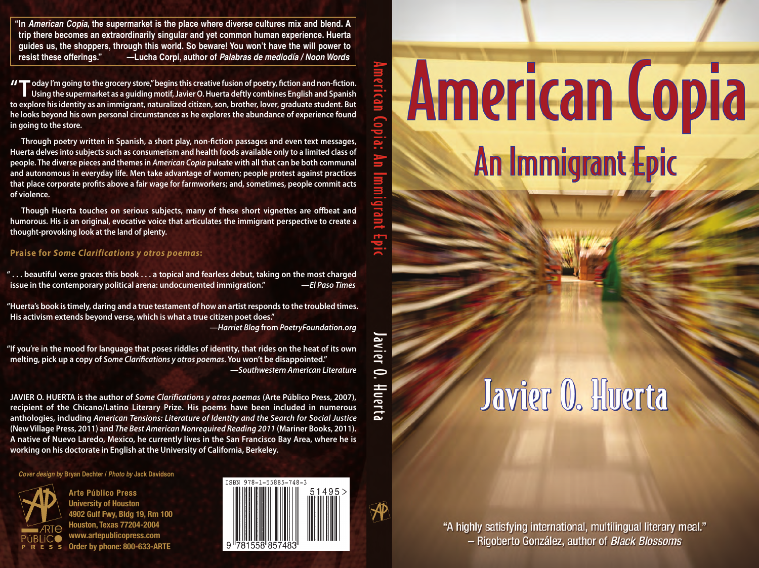# **American Copia** An Immigrant Epic

### Javier O. Huerta

"A highly satisfying international, multilingual literary meal." - Rigoberto González, author of Black Blossoms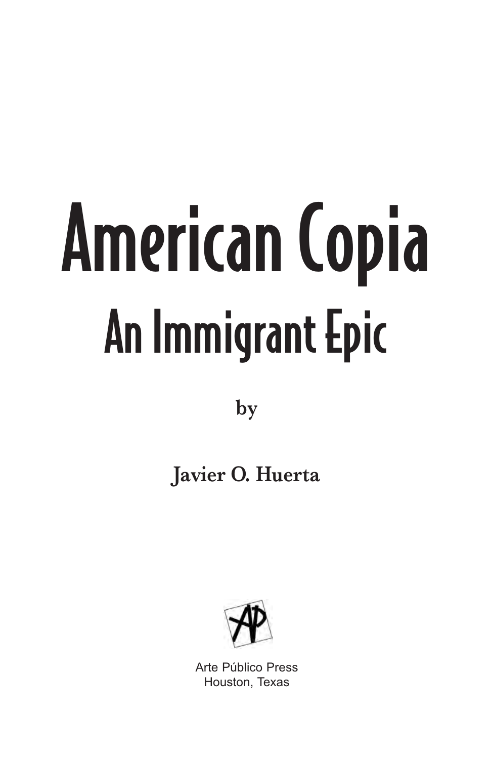## American Copia An Immigrant Epic

**by**

### **Javier O. Huerta**



Arte Público Press Houston, Texas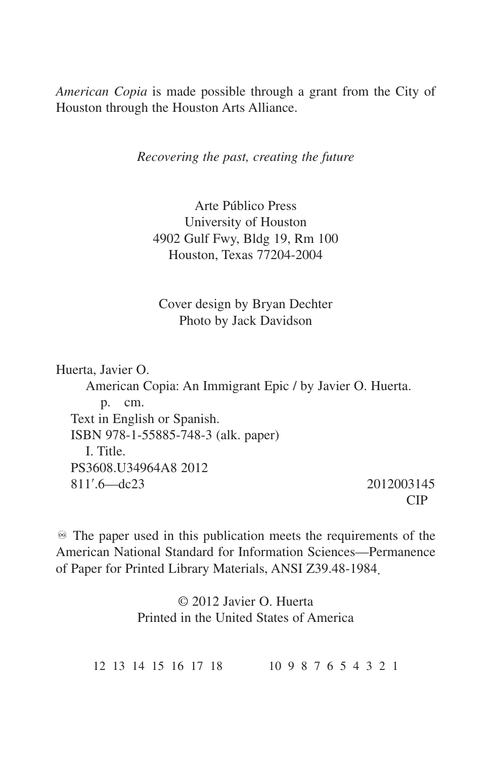*American Copia* is made possible through a grant from the City of Houston through the Houston Arts Alliance.

*Recovering the past, creating the future*

Arte Público Press University of Houston 4902 Gulf Fwy, Bldg 19, Rm 100 Houston, Texas 77204-2004

Cover design by Bryan Dechter Photo by Jack Davidson

Huerta, Javier O. American Copia: An Immigrant Epic / by Javier O. Huerta. p. cm. Text in English or Spanish. ISBN 978-1-55885-748-3 (alk. paper) I. Title. PS3608.U34964A8 2012 811ʹ.6—dc23 2012003145

CIP

 $\mathcal{F}$  The paper used in this publication meets the requirements of the American National Standard for Information Sciences—Permanence of Paper for Printed Library Materials, ANSI Z39.48-1984.

> © 2012 Javier O. Huerta Printed in the United States of America

12 13 14 15 16 17 18 10 9 8 7 6 5 4 3 2 1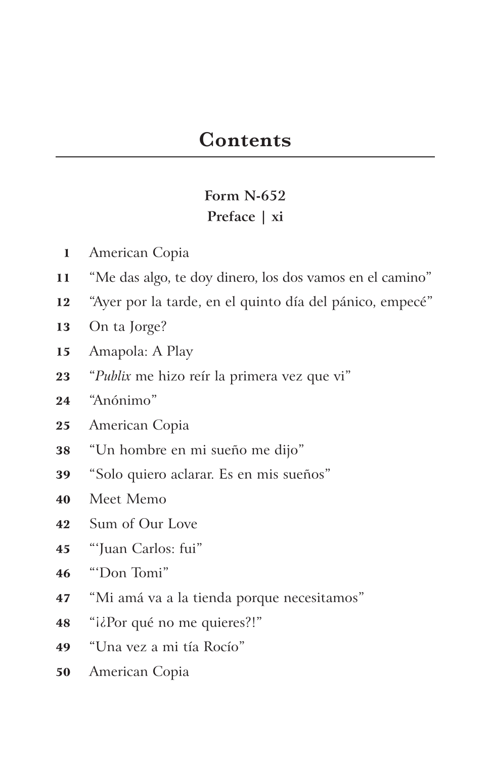#### **Form N-652 Preface | xi**

- American Copia
- "Me das algo, te doy dinero, los dos vamos en el camino"
- "Ayer por la tarde, en el quinto día del pánico, empecé"
- On ta Jorge?
- Amapola: A Play
- "*Publix* me hizo reír la primera vez que vi"
- "Anónimo"
- American Copia
- "Un hombre en mi sueño me dijo"
- "Solo quiero aclarar. Es en mis sueños"
- Meet Memo
- Sum of Our Love
- "'Juan Carlos: fui"
- "'Don Tomi"
- "Mi amá va a la tienda porque necesitamos"
- 48 " $i\delta$ Por qué no me quieres?!"
- "Una vez a mi tía Rocío"
- American Copia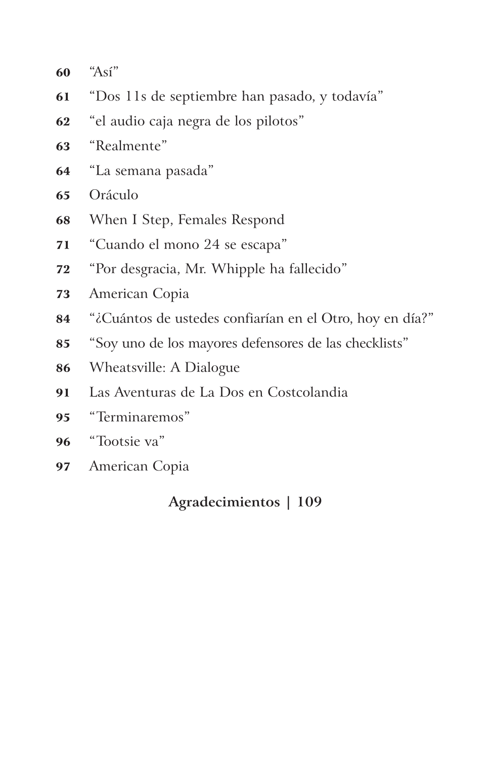"Así"

- "Dos 11s de septiembre han pasado, y todavía"
- "el audio caja negra de los pilotos"
- "Realmente"
- "La semana pasada"
- Oráculo
- When I Step, Females Respond
- "Cuando el mono 24 se escapa"
- "Por desgracia, Mr. Whipple ha fallecido"
- American Copia
- "¿Cuántos de ustedes confiarían en el Otro, hoy en día?"
- "Soy uno de los mayores defensores de las checklists"
- Wheatsville: A Dialogue
- Las Aventuras de La Dos en Costcolandia
- "Terminaremos"
- "Tootsie va"
- American Copia

#### **Agradecimientos | 109**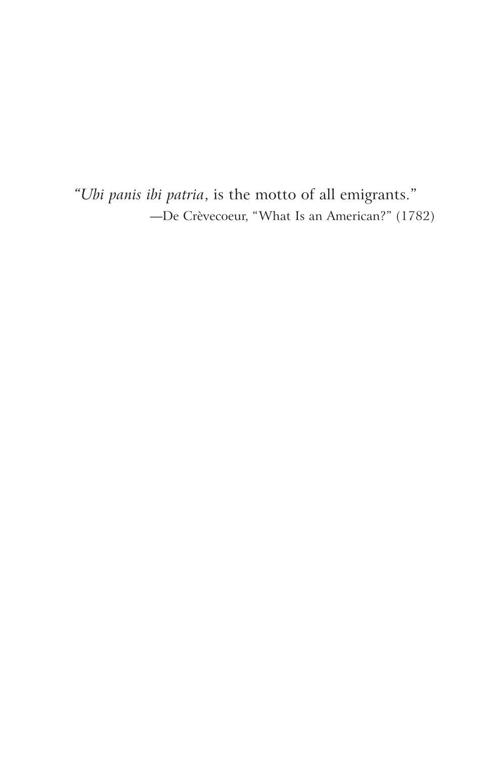"Ubi panis ibi patria, is the motto of all emigrants." -De Crèvecoeur, "What Is an American?" (1782)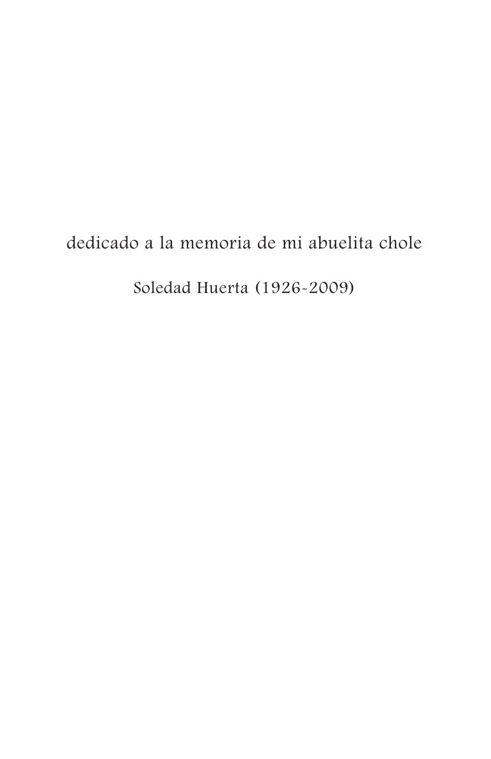#### dedicado a la memoria de mi abuelita chole

Soledad Huerta (1926-2009)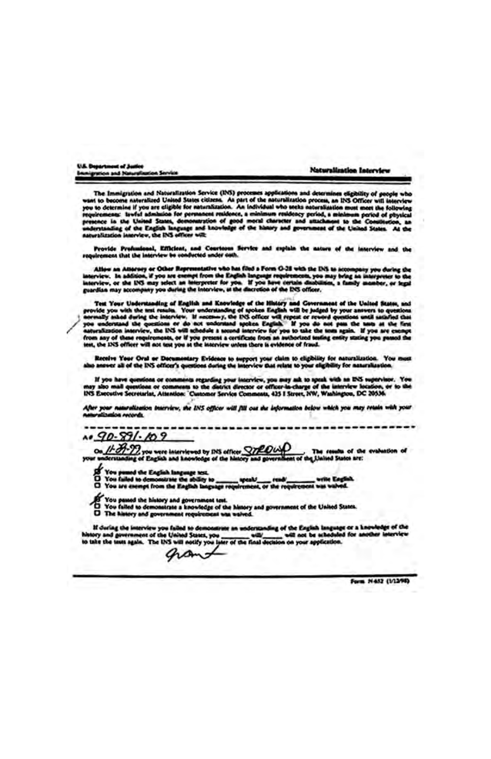| U.S. Department of Justice                     |                          |  |
|------------------------------------------------|--------------------------|--|
| <b>Brunigration and Naturalisation Service</b> | Naturalization Interview |  |

The Immigration and Nationalization Service (INS) processes applications and determines eligibility of people who want to become naturalized Uniod States citizens. As part of the assuralization process, an INS-Officer will

Provide Profundeeal, Efficient, and Courtoous Service and explain the nature of the interview and the<br>ulrement that the interview be conducted under outh.

Alter an Attorney or Other Representative who has filed a Form O-28 with the DiS as accompany you during the Interpreter to the English Integrate requirements, you may bring an interpreter to the Interpreter to the Interpr

Test Your Understanding of English and Knowledge of the History and Government of the United States, and provide you with the not results. Your understanding of spoken English will be judged by your answers to questions a

Receive Year Oral or Decumentary Evidence to support your claim to clipbility for naturalization. You must<br>also answer all of the INS officer's questions during the imprview that relate to your sigibility for naturalizatio

If you have questions or comments regarding your interview, you may set to speak with an INS supervisor. You<br>may also mail questions on comments to the district director or efficers<br>in-the-Comment of the interview in the f

After your naturalization interview, the INS officer will fill out the information below which you may retain with your<br>naturalization records.

 $A0.90.891.09$ 

 $\frac{\mu}{2}$  $\frac{\partial}{\partial z}$  you were interviewed by DIS offices  $\frac{C}{2}$  $\frac{\partial}{\partial \phi}$ . The results of the evaluation of

- 
- 
- 
- 
- of You passed the history and government test.<br>D You failed to demonstrate a knowledge of the history and government of the United States.<br>D The history and government requirement was waived.
	-

If during the interview you failed to demonstree an understanding of the English language or a knowle<br>history and government of the University of the presence of not be selected for another<br>to take the texts again. The INS

grant

Form N452 (1/1398)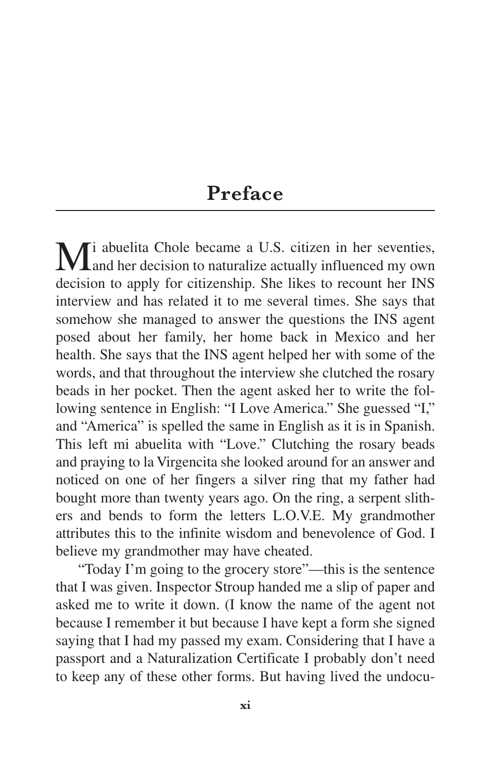#### **Preface**

Mi abuelita Chole became a U.S. citizen in her seventies,<br>and her decision to naturalize actually influenced my own decision to apply for citizenship. She likes to recount her INS interview and has related it to me several times. She says that somehow she managed to answer the questions the INS agent posed about her family, her home back in Mexico and her health. She says that the INS agent helped her with some of the words, and that throughout the interview she clutched the rosary beads in her pocket. Then the agent asked her to write the following sentence in English: "I Love America." She guessed "I," and "America" is spelled the same in English as it is in Spanish. This left mi abuelita with "Love." Clutching the rosary beads and praying to la Virgencita she looked around for an answer and noticed on one of her fingers a silver ring that my father had bought more than twenty years ago. On the ring, a serpent slithers and bends to form the letters L.O.V.E. My grandmother attributes this to the infinite wisdom and benevolence of God. I believe my grandmother may have cheated.

"Today I'm going to the grocery store"—this is the sentence that I was given. Inspector Stroup handed me a slip of paper and asked me to write it down. (I know the name of the agent not because I remember it but because I have kept a form she signed saying that I had my passed my exam. Considering that I have a passport and a Naturalization Certificate I probably don't need to keep any of these other forms. But having lived the undocu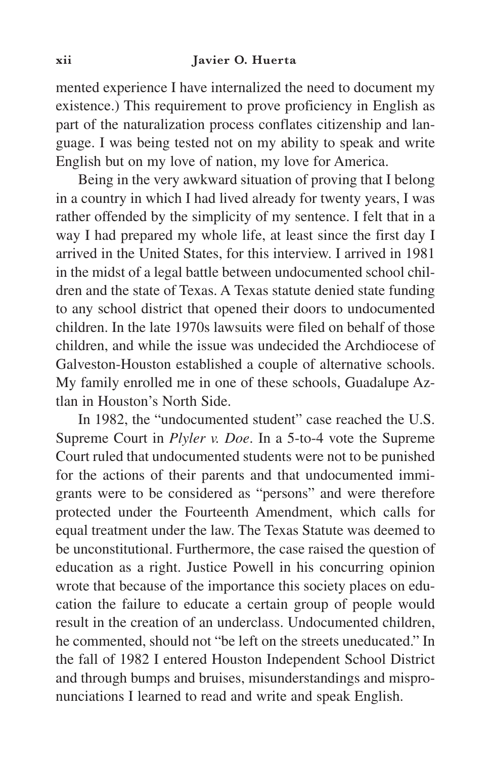mented experience I have internalized the need to document my existence.) This requirement to prove proficiency in English as part of the naturalization process conflates citizenship and language. I was being tested not on my ability to speak and write English but on my love of nation, my love for America.

Being in the very awkward situation of proving that I belong in a country in which I had lived already for twenty years, I was rather offended by the simplicity of my sentence. I felt that in a way I had prepared my whole life, at least since the first day I arrived in the United States, for this interview. I arrived in 1981 in the midst of a legal battle between undocumented school children and the state of Texas. A Texas statute denied state funding to any school district that opened their doors to undocumented children. In the late 1970s lawsuits were filed on behalf of those children, and while the issue was undecided the Archdiocese of Galveston-Houston established a couple of alternative schools. My family enrolled me in one of these schools, Guadalupe Aztlan in Houston's North Side.

In 1982, the "undocumented student" case reached the U.S. Supreme Court in *Plyler v. Doe*. In a 5-to-4 vote the Supreme Court ruled that undocumented students were not to be punished for the actions of their parents and that undocumented immigrants were to be considered as "persons" and were therefore protected under the Fourteenth Amendment, which calls for equal treatment under the law. The Texas Statute was deemed to be unconstitutional. Furthermore, the case raised the question of education as a right. Justice Powell in his concurring opinion wrote that because of the importance this society places on education the failure to educate a certain group of people would result in the creation of an underclass. Undocumented children, he commented, should not "be left on the streets uneducated." In the fall of 1982 I entered Houston Independent School District and through bumps and bruises, misunderstandings and mispronunciations I learned to read and write and speak English.